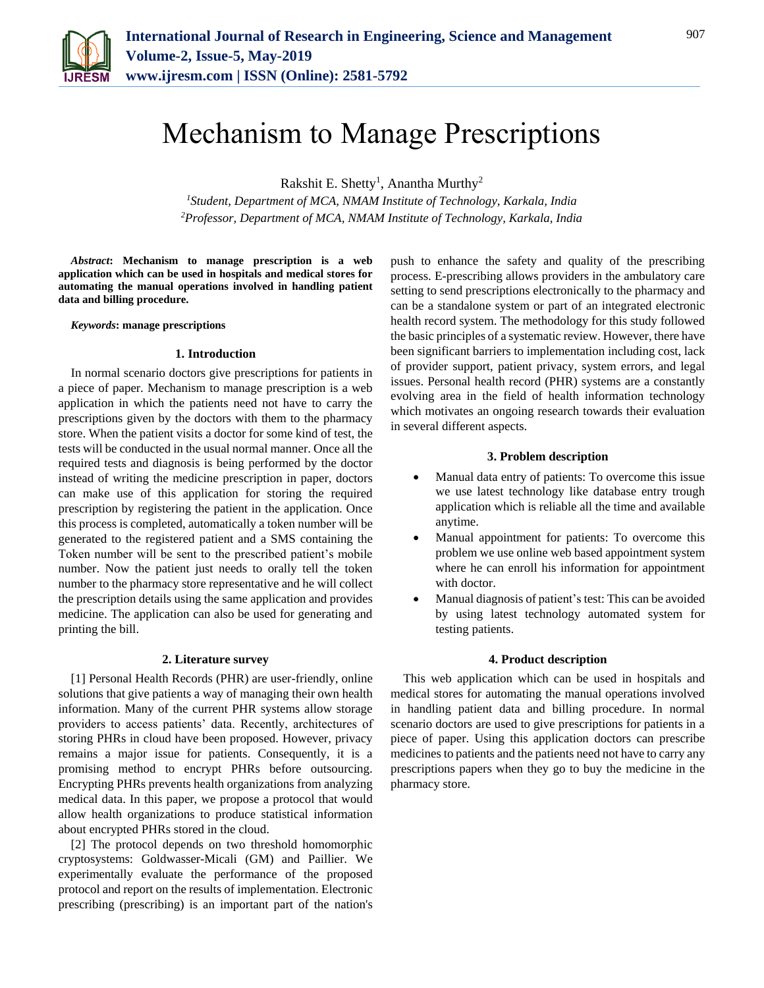

# Mechanism to Manage Prescriptions

Rakshit E. Shetty<sup>1</sup>, Anantha Murthy<sup>2</sup>

*<sup>1</sup>Student, Department of MCA, NMAM Institute of Technology, Karkala, India 2Professor, Department of MCA, NMAM Institute of Technology, Karkala, India*

*Abstract***: Mechanism to manage prescription is a web application which can be used in hospitals and medical stores for automating the manual operations involved in handling patient data and billing procedure.** 

*Keywords***: manage prescriptions**

#### **1. Introduction**

In normal scenario doctors give prescriptions for patients in a piece of paper. Mechanism to manage prescription is a web application in which the patients need not have to carry the prescriptions given by the doctors with them to the pharmacy store. When the patient visits a doctor for some kind of test, the tests will be conducted in the usual normal manner. Once all the required tests and diagnosis is being performed by the doctor instead of writing the medicine prescription in paper, doctors can make use of this application for storing the required prescription by registering the patient in the application. Once this process is completed, automatically a token number will be generated to the registered patient and a SMS containing the Token number will be sent to the prescribed patient's mobile number. Now the patient just needs to orally tell the token number to the pharmacy store representative and he will collect the prescription details using the same application and provides medicine. The application can also be used for generating and printing the bill.

# **2. Literature survey**

[1] Personal Health Records (PHR) are user-friendly, online solutions that give patients a way of managing their own health information. Many of the current PHR systems allow storage providers to access patients' data. Recently, architectures of storing PHRs in cloud have been proposed. However, privacy remains a major issue for patients. Consequently, it is a promising method to encrypt PHRs before outsourcing. Encrypting PHRs prevents health organizations from analyzing medical data. In this paper, we propose a protocol that would allow health organizations to produce statistical information about encrypted PHRs stored in the cloud.

[2] The protocol depends on two threshold homomorphic cryptosystems: Goldwasser-Micali (GM) and Paillier. We experimentally evaluate the performance of the proposed protocol and report on the results of implementation. Electronic prescribing (prescribing) is an important part of the nation's

push to enhance the safety and quality of the prescribing process. E-prescribing allows providers in the ambulatory care setting to send prescriptions electronically to the pharmacy and can be a standalone system or part of an integrated electronic health record system. The methodology for this study followed the basic principles of a systematic review. However, there have been significant barriers to implementation including cost, lack of provider support, patient privacy, system errors, and legal issues. Personal health record (PHR) systems are a constantly evolving area in the field of health information technology which motivates an ongoing research towards their evaluation in several different aspects.

#### **3. Problem description**

- Manual data entry of patients: To overcome this issue we use latest technology like database entry trough application which is reliable all the time and available anytime.
- Manual appointment for patients: To overcome this problem we use online web based appointment system where he can enroll his information for appointment with doctor.
- Manual diagnosis of patient's test: This can be avoided by using latest technology automated system for testing patients.

#### **4. Product description**

This web application which can be used in hospitals and medical stores for automating the manual operations involved in handling patient data and billing procedure. In normal scenario doctors are used to give prescriptions for patients in a piece of paper. Using this application doctors can prescribe medicines to patients and the patients need not have to carry any prescriptions papers when they go to buy the medicine in the pharmacy store.